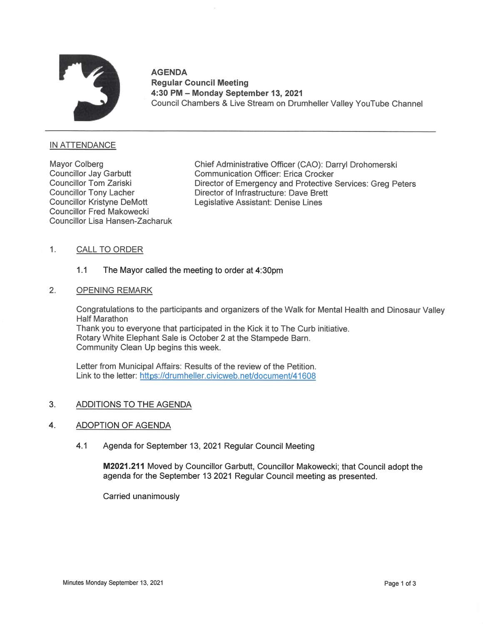

AGENDA Regular Council Meeting 4:30 PM — Monday September 13, 2021 Council Chambers & Live Stream on Drumheller Valley YouTube Channel

## INATTENDANCE

Councillor Fred Makowecki Councillor Lisa Hansen-Zacharuk

Mayor Colberg Chief Administrative Officer (CAO): Darryl Drohomerski<br>Councillor Jay Garbutt Communication Officer: Erica Crocker Communication Officer: Erica Crocker Councillor Tom Zariski **Director of Emergency and Protective Services: Greg Peters** Councillor Tony Lacher **interprettive Councillor Tony Lacher** interprettive Director of Infrastructure: Dave Brett Councillor Kristyne DeMott Legislative Assistant: Denise Lines

# 1. CALLTO ORDER

# 1.1 The Mayor called the meeting to order at 4:30pm

## 2. OPENING REMARK

Congratulations to the participants and organizers of the Walk for Mental Health and Dinosaur Valley Half Marathon

Thank you to everyone that participated in the Kick it to The Curb initiative. Rotary White Elephant Sale is October 2 at the Stampede Barn. Community Clean Up begins this week.

Link to the letter: https://drumheller.civicweb.net/document/41 Letter from MunicipalAffairs: Results of the review of the Petition.

### 3. ADDITIONS TO THE AGENDA

### 4. ADOPTION OF AGENDA

4.1 Agenda for September 13, 2021 Regular Council Meeting

M2021.211 Moved by Councillor Garbutt, Councillor Makowecki; that Council adopt the agenda for the September 13 2021 Regular Council meeting as presented.

Carried unanimously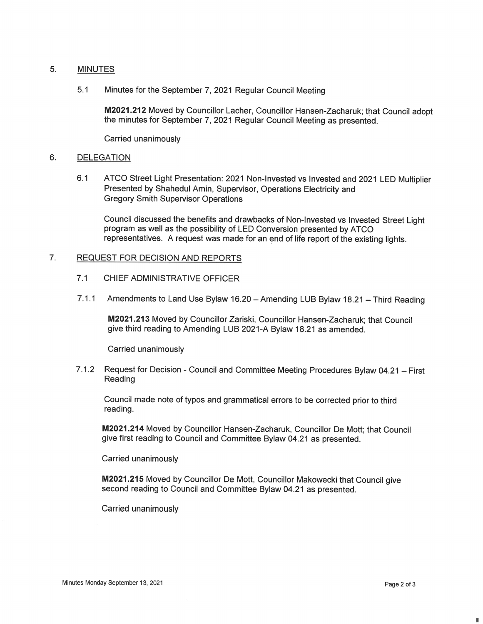#### 5. MINUTES

5.1 Minutes for the September 7, 2021 Regular Council Meeting

M2021.212 Moved by Councillor Lacher, Councillor Hansen-Zacharuk; that Council adopt the minutes for September 7, 2021 Regular Council Meeting as presented.

Carried unanimously

### 6. DELEGATION

6.1 ATCO Street Light Presentation: 2021 Non-Invested vs Invested and 2021 LED Multiplier Presented by Shahedul Amin, Supervisor, Operations Electricity and Gregory Smith Supervisor Operations

Council discussed the benefits and drawbacks of Non-Invested vs Invested Street Light program as well as the possibility of LED Conversion presented by ATCO representatives. A request was made for an end of life report of the existing lights.

### $\overline{7}$ . REQUEST FOR DECISION AND REPORTS

- 7.1 CHIEF ADMINISTRATIVE OFFICER
- 7.1.1 Amendments to Land Use Bylaw 16.20 Amending LUB Bylaw 18.21 Third Reading

M2021.213 Moved by Councillor Zariski, Councillor Hansen-Zacharuk; that Council give third reading to Amending LUB2021-A Bylaw 18.21 as amended.

Carried unanimously

7.1.2 Request for Decision - Council and Committee Meeting Procedures Bylaw 04.21 - First Reading

Council made note of typos and grammatical errors to be corrected prior to third reading.

M2021.214 Moved by Councillor Hansen-Zacharuk, Councillor De Mott; that Council give first reading to Council and Committee Bylaw 04.21 as presented.

Carried unanimously

M2021.215 Moved by Councillor De Mott, Councillor Makowecki that Council give second reading to Council and Committee Bylaw 04.21 as presented.

Carried unanimously